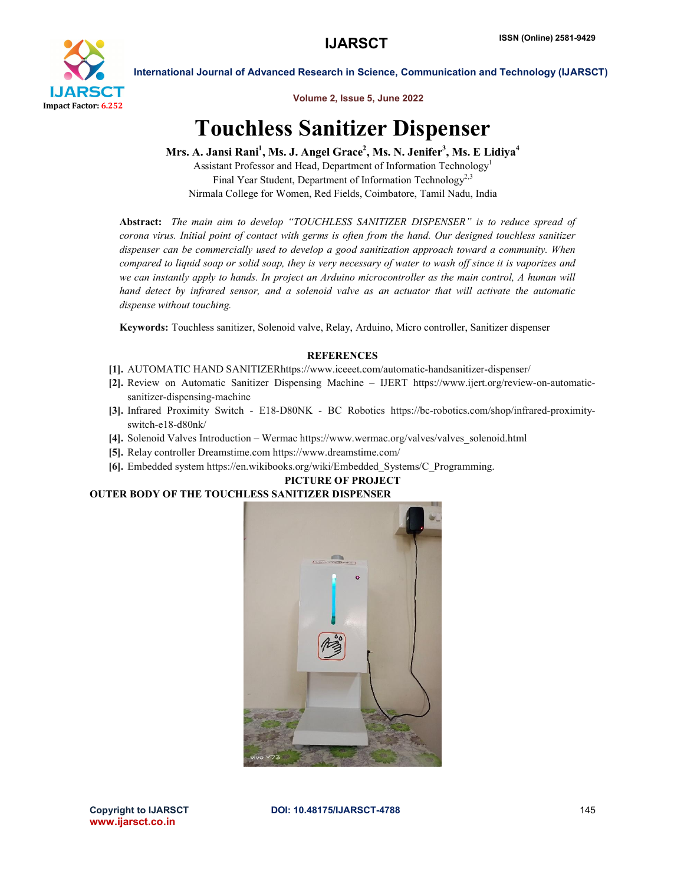

Volume 2, Issue 5, June 2022

International Journal of Advanced Research in Science, Communication and Technology (IJARSCT)

# Touchless Sanitizer Dispenser

Mrs. A. Jansi Rani<sup>1</sup>, Ms. J. Angel Grace<sup>2</sup>, Ms. N. Jenifer<sup>3</sup>, Ms. E Lidiya<sup>4</sup>

Assistant Professor and Head, Department of Information Technology<sup>1</sup> Final Year Student, Department of Information Technology<sup>2,3</sup> Nirmala College for Women, Red Fields, Coimbatore, Tamil Nadu, India

Abstract: *The main aim to develop "TOUCHLESS SANITIZER DISPENSER" is to reduce spread of corona virus. Initial point of contact with germs is often from the hand. Our designed touchless sanitizer dispenser can be commercially used to develop a good sanitization approach toward a community. When compared to liquid soap or solid soap, they is very necessary of water to wash off since it is vaporizes and we can instantly apply to hands. In project an Arduino microcontroller as the main control, A human will hand detect by infrared sensor, and a solenoid valve as an actuator that will activate the automatic dispense without touching.*

Keywords: Touchless sanitizer, Solenoid valve, Relay, Arduino, Micro controller, Sanitizer dispenser

### **REFERENCES**

- [1]. AUTOMATIC HAND SANITIZERhttps://www.iceeet.com/automatic-handsanitizer-dispenser/
- [2]. Review on Automatic Sanitizer Dispensing Machine IJERT https://www.ijert.org/review-on-automaticsanitizer-dispensing-machine
- [3]. Infrared Proximity Switch E18-D80NK BC Robotics https://bc-robotics.com/shop/infrared-proximityswitch-e18-d80nk/
- [4]. Solenoid Valves Introduction Wermac https://www.wermac.org/valves/valves\_solenoid.html
- [5]. Relay controller Dreamstime.com https://www.dreamstime.com/
- [6]. Embedded system https://en.wikibooks.org/wiki/Embedded\_Systems/C\_Programming.

# PICTURE OF PROJECT

## OUTER BODY OF THE TOUCHLESS SANITIZER DISPENSER